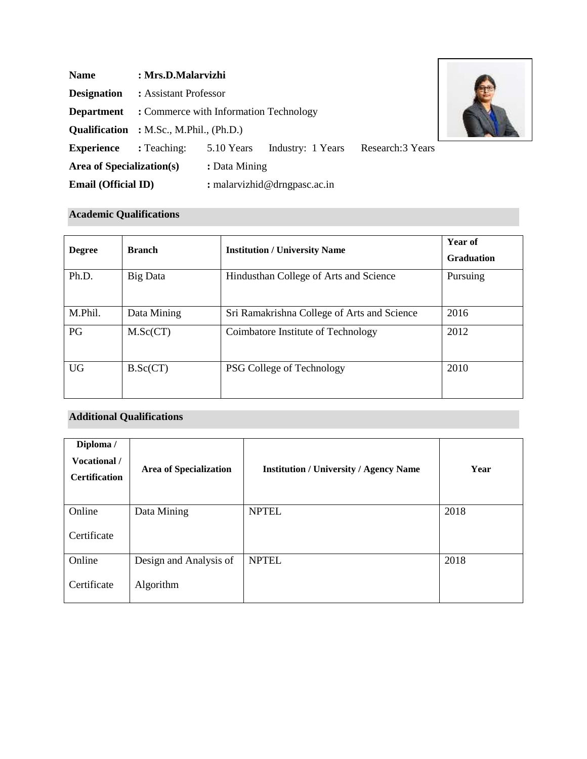| <b>Name</b>                      | : Mrs.D.Malarvizhi                             |                              |                   |                   |  |
|----------------------------------|------------------------------------------------|------------------------------|-------------------|-------------------|--|
| <b>Designation</b>               | : Assistant Professor                          |                              |                   |                   |  |
| <b>Department</b>                | : Commerce with Information Technology         |                              |                   |                   |  |
|                                  | <b>Qualification</b> : M.Sc., M.Phil., (Ph.D.) |                              |                   |                   |  |
| <b>Experience</b>                | : Teaching:                                    | 5.10 Years                   | Industry: 1 Years | Research: 3 Years |  |
| <b>Area of Specialization(s)</b> |                                                | : Data Mining                |                   |                   |  |
| <b>Email (Official ID)</b>       |                                                | : malarvizhid@drngpasc.ac.in |                   |                   |  |

 $\Gamma$ 

# **Academic Qualifications**

| <b>Degree</b> | <b>Branch</b> | <b>Institution / University Name</b>        | Year of<br><b>Graduation</b> |
|---------------|---------------|---------------------------------------------|------------------------------|
| Ph.D.         | Big Data      | Hindusthan College of Arts and Science      | Pursuing                     |
| M.Phil.       | Data Mining   | Sri Ramakrishna College of Arts and Science | 2016                         |
| <b>PG</b>     | M.Sc (CT)     | Coimbatore Institute of Technology          | 2012                         |
| <b>UG</b>     | B.Sc(T)       | PSG College of Technology                   | 2010                         |

# **Additional Qualifications**

| Diploma /<br>Vocational /<br><b>Certification</b> | <b>Area of Specialization</b> | <b>Institution / University / Agency Name</b> | Year |
|---------------------------------------------------|-------------------------------|-----------------------------------------------|------|
| Online                                            | Data Mining                   | <b>NPTEL</b>                                  | 2018 |
| Certificate                                       |                               |                                               |      |
| Online                                            | Design and Analysis of        | <b>NPTEL</b>                                  | 2018 |
| Certificate                                       | Algorithm                     |                                               |      |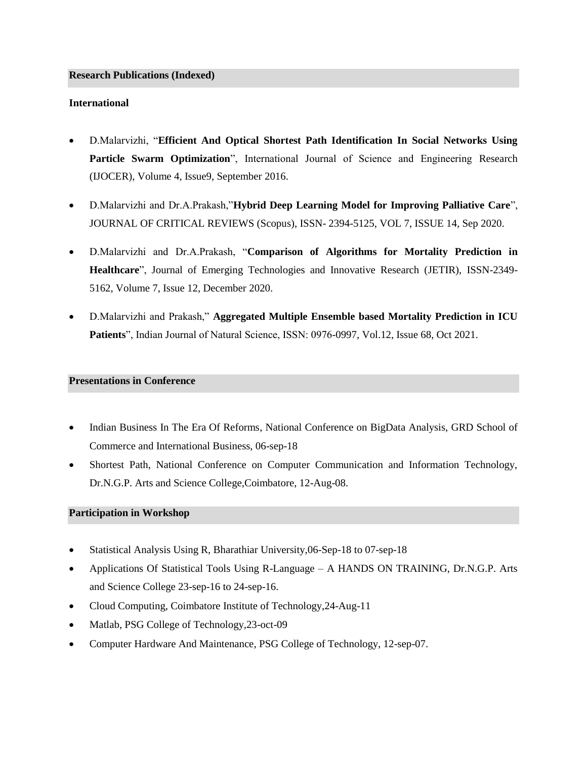### **Research Publications (Indexed)**

# **International**

- D.Malarvizhi, "**Efficient And Optical Shortest Path Identification In Social Networks Using**  Particle Swarm Optimization", International Journal of Science and Engineering Research (IJOCER), Volume 4, Issue9, September 2016.
- D.Malarvizhi and Dr.A.Prakash,"**Hybrid Deep Learning Model for Improving Palliative Care**", JOURNAL OF CRITICAL REVIEWS (Scopus), ISSN- 2394-5125, VOL 7, ISSUE 14, Sep 2020.
- D.Malarvizhi and Dr.A.Prakash, "**Comparison of Algorithms for Mortality Prediction in Healthcare**", Journal of Emerging Technologies and Innovative Research (JETIR), ISSN-2349- 5162, Volume 7, Issue 12, December 2020.
- D.Malarvizhi and Prakash," **Aggregated Multiple Ensemble based Mortality Prediction in ICU Patients**", Indian Journal of Natural Science, ISSN: 0976-0997, Vol.12, Issue 68, Oct 2021.

# **Presentations in Conference**

- Indian Business In The Era Of Reforms, National Conference on BigData Analysis, GRD School of Commerce and International Business, 06-sep-18
- Shortest Path, National Conference on Computer Communication and Information Technology, Dr.N.G.P. Arts and Science College,Coimbatore, 12-Aug-08.

# **Participation in Workshop**

- Statistical Analysis Using R, Bharathiar University,06-Sep-18 to 07-sep-18
- Applications Of Statistical Tools Using R-Language A HANDS ON TRAINING, Dr.N.G.P. Arts and Science College 23-sep-16 to 24-sep-16.
- Cloud Computing, Coimbatore Institute of Technology,24-Aug-11
- Matlab, PSG College of Technology,23-oct-09
- Computer Hardware And Maintenance, PSG College of Technology, 12-sep-07.